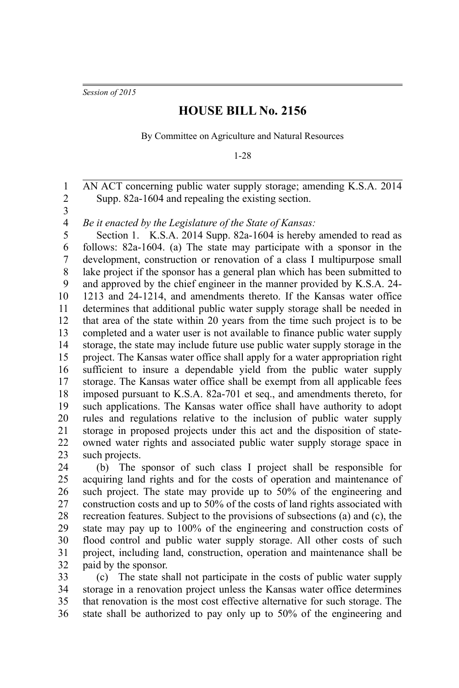*Session of 2015*

## **HOUSE BILL No. 2156**

By Committee on Agriculture and Natural Resources

1-28

AN ACT concerning public water supply storage; amending K.S.A. 2014 Supp. 82a-1604 and repealing the existing section. 1 2

3

*Be it enacted by the Legislature of the State of Kansas:* 4

Section 1. K.S.A. 2014 Supp. 82a-1604 is hereby amended to read as follows: 82a-1604. (a) The state may participate with a sponsor in the development, construction or renovation of a class I multipurpose small lake project if the sponsor has a general plan which has been submitted to and approved by the chief engineer in the manner provided by K.S.A. 24- 1213 and 24-1214, and amendments thereto. If the Kansas water office determines that additional public water supply storage shall be needed in that area of the state within 20 years from the time such project is to be completed and a water user is not available to finance public water supply storage, the state may include future use public water supply storage in the project. The Kansas water office shall apply for a water appropriation right sufficient to insure a dependable yield from the public water supply storage. The Kansas water office shall be exempt from all applicable fees imposed pursuant to K.S.A. 82a-701 et seq., and amendments thereto, for such applications. The Kansas water office shall have authority to adopt rules and regulations relative to the inclusion of public water supply storage in proposed projects under this act and the disposition of stateowned water rights and associated public water supply storage space in such projects. 5 6 7 8 9 10 11 12 13 14 15 16 17 18 19 20 21 22 23

(b) The sponsor of such class I project shall be responsible for acquiring land rights and for the costs of operation and maintenance of such project. The state may provide up to 50% of the engineering and construction costs and up to 50% of the costs of land rights associated with recreation features. Subject to the provisions of subsections (a) and (c), the state may pay up to 100% of the engineering and construction costs of flood control and public water supply storage. All other costs of such project, including land, construction, operation and maintenance shall be paid by the sponsor. 24 25 26 27 28 29 30 31 32

(c) The state shall not participate in the costs of public water supply storage in a renovation project unless the Kansas water office determines that renovation is the most cost effective alternative for such storage. The state shall be authorized to pay only up to 50% of the engineering and 33 34 35 36